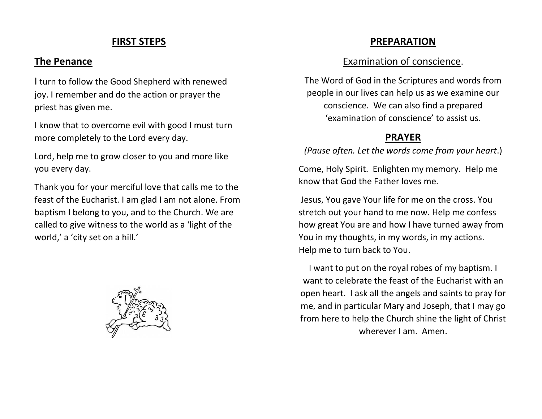#### **FIRST STEPS**

## **The Penance**

I turn to follow the Good Shepherd with renewed joy. I remember and do the action or prayer the priest has given me.

I know that to overcome evil with good I must turn more completely to the Lord every day.

Lord, help me to grow closer to you and more like you every day.

Thank you for your merciful love that calls me to the feast of the Eucharist. I am glad I am not alone. From baptism I belong to you, and to the Church. We are called to give witness to the world as a 'light of the world,' a 'city set on a hill.'



# **PREPARATION**

# Examination of conscience.

The Word of God in the Scriptures and words from people in our lives can help us as we examine our conscience. We can also find a prepared 'examination of conscience' to assist us.

# **PRAYER**

*(Pause often. Let the words come from your heart*.)

Come, Holy Spirit. Enlighten my memory. Help me know that God the Father loves me.

Jesus, You gave Your life for me on the cross. You stretch out your hand to me now. Help me confess how great You are and how I have turned away from You in my thoughts, in my words, in my actions. Help me to turn back to You.

I want to put on the royal robes of my baptism. I want to celebrate the feast of the Eucharist with an open heart. I ask all the angels and saints to pray for me, and in particular Mary and Joseph, that I may go from here to help the Church shine the light of Christ wherever I am. Amen.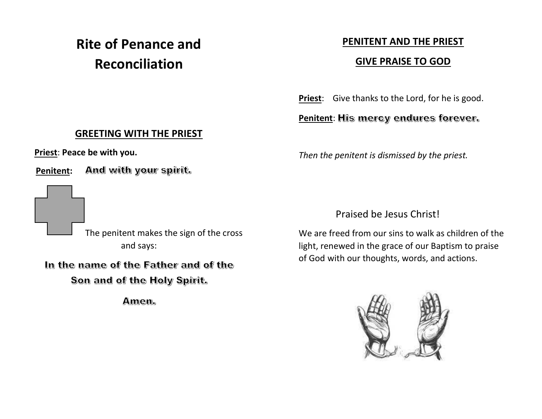# **Rite of Penance and Reconciliation**

# **PENITENT AND THE PRIEST GIVE PRAISE TO GOD**

**Priest**: Give thanks to the Lord, for he is good.

#### Penitent: **His mercy endures forever.**

*Then the penitent is dismissed by the priest.*

Praised be Jesus Christ!

We are freed from our sins to walk as children of the light, renewed in the grace of our Baptism to praise of God with our thoughts, words, and actions.



## **GREETING WITH THE PRIEST**

**Priest**: **Peace be with you.**

And with your spirit. **Penitent:**

> The penitent makes the sign of the cross and says:

In the name of the Father and of the Son and of the Holy Spirit.

Amen.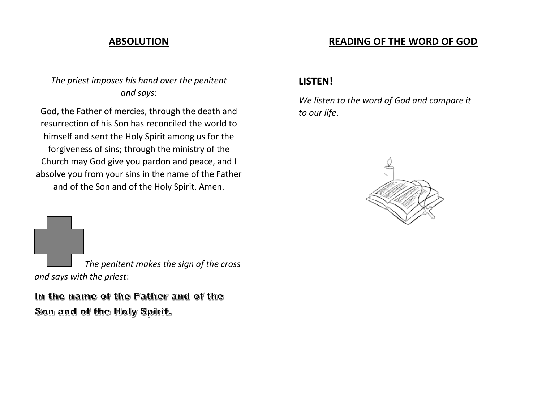#### **ABSOLUTION**

*The priest imposes his hand over the penitent and says*:

God, the Father of mercies, through the death and resurrection of his Son has reconciled the world to himself and sent the Holy Spirit among us for the forgiveness of sins; through the ministry of the Church may God give you pardon and peace, and I absolve you from your sins in the name of the Father and of the Son and of the Holy Spirit. Amen.

**READING OF THE WORD OF GOD**

#### **LISTEN!**

*We listen to the word of God and compare it to our life*.



*The penitent makes the sign of the cross and says with the priest*:

In the name of the Father and of the Son and of the Holy Spirit.